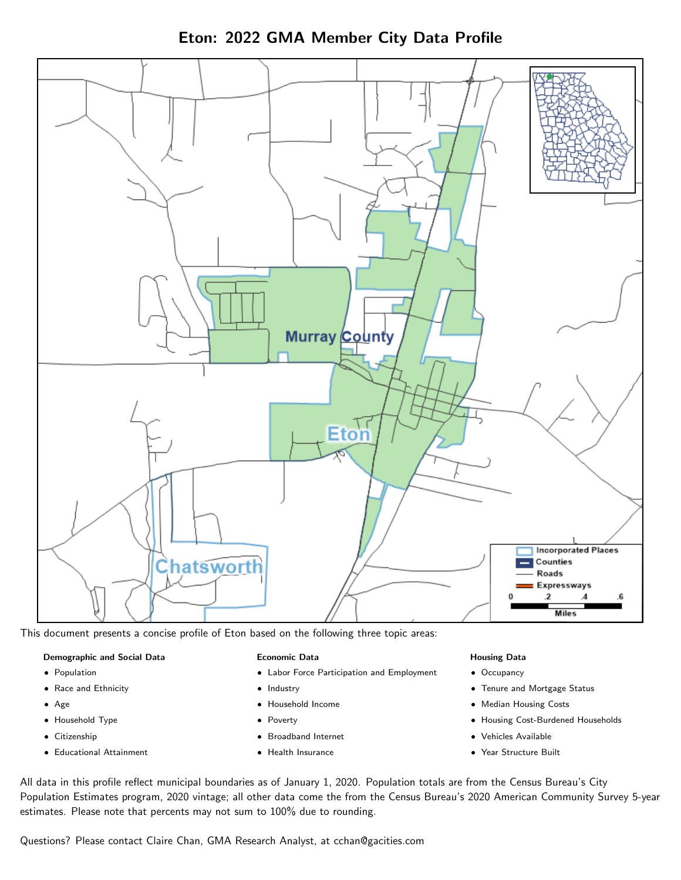Eton: 2022 GMA Member City Data Profile



This document presents a concise profile of Eton based on the following three topic areas:

### Demographic and Social Data

- **•** Population
- Race and Ethnicity
- Age
- Household Type
- **Citizenship**
- Educational Attainment

### Economic Data

- Labor Force Participation and Employment
- Industry
- Household Income
- Poverty
- Broadband Internet
- Health Insurance

### Housing Data

- Occupancy
- Tenure and Mortgage Status
- Median Housing Costs
- Housing Cost-Burdened Households
- Vehicles Available
- Year Structure Built

All data in this profile reflect municipal boundaries as of January 1, 2020. Population totals are from the Census Bureau's City Population Estimates program, 2020 vintage; all other data come the from the Census Bureau's 2020 American Community Survey 5-year estimates. Please note that percents may not sum to 100% due to rounding.

Questions? Please contact Claire Chan, GMA Research Analyst, at [cchan@gacities.com.](mailto:cchan@gacities.com)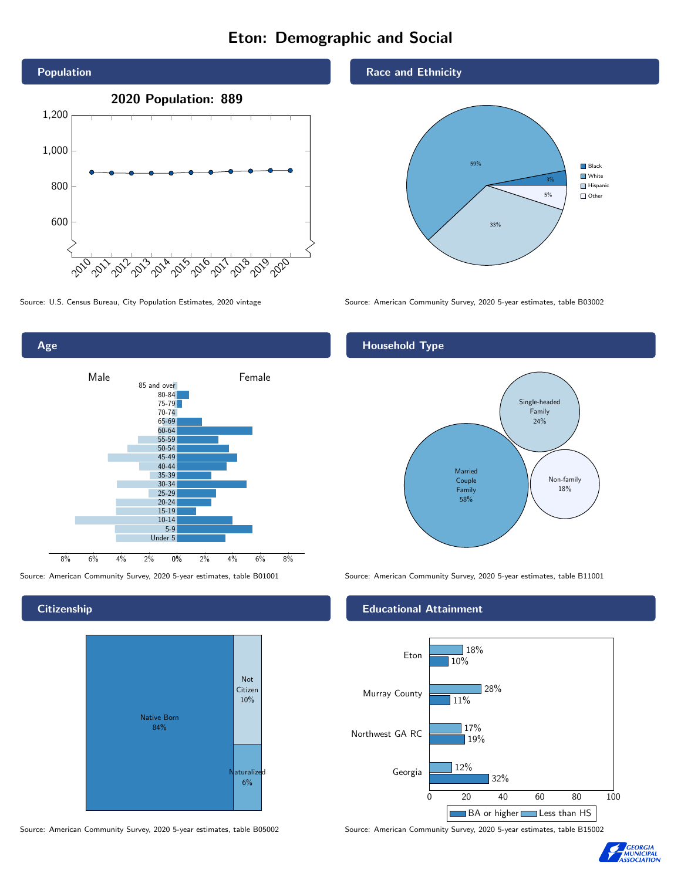# Eton: Demographic and Social



Age 0% 2% 4% 6% 8% Male **Female** 8% 6% 4% 2% 85 and over 80-84 75-79 70-74 65-69 60-64 55-59 50-54 45-49 40-44 35-39 30-34 25-29 20-24 15-19 10-14 5-9 Under 5

## **Citizenship**



Source: American Community Survey, 2020 5-year estimates, table B05002 Source: American Community Survey, 2020 5-year estimates, table B15002

Race and Ethnicity



Source: U.S. Census Bureau, City Population Estimates, 2020 vintage Source: American Community Survey, 2020 5-year estimates, table B03002

# Household Type



Source: American Community Survey, 2020 5-year estimates, table B01001 Source: American Community Survey, 2020 5-year estimates, table B11001

### Educational Attainment



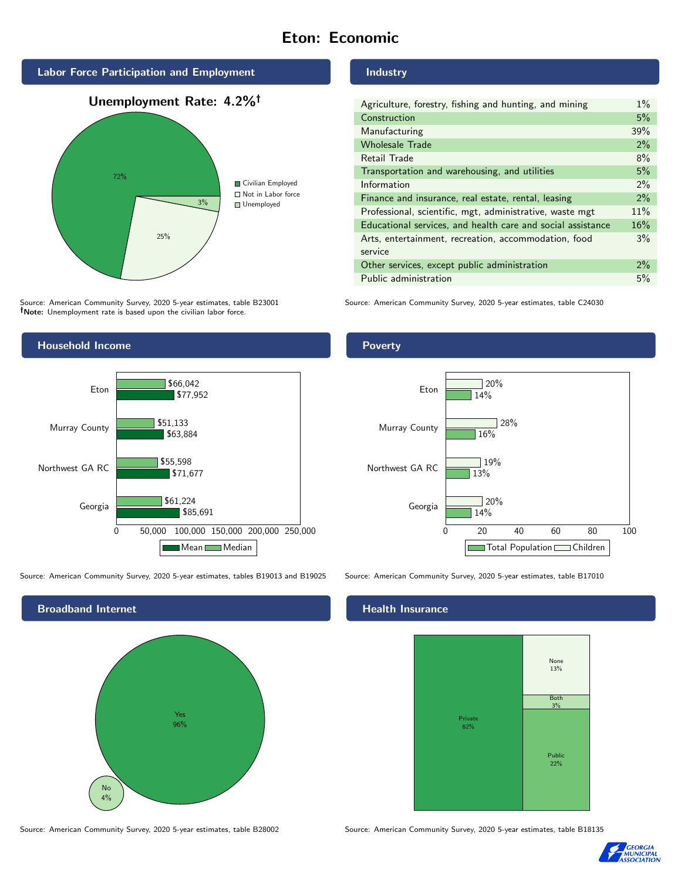# Eton: Economic



Source: American Community Survey, 2020 5-year estimates, table B23001 Note: Unemployment rate is based upon the civilian labor force.

Household Income

Poverty



Source: American Community Survey, 2020 5-year estimates, tables B19013 and B19025 Source: American Community Survey, 2020 5-year estimates, table B17010

Broadband Internet No 4% Yes 96%

Source: American Community Survey, 2020 5-year estimates, table B28002 Source: American Community Survey, 2020 5-year estimates, table B18135

14%

 $720%$ 

19%

16%

28%

14%

 $720%$ 

### Health Insurance





### Industry

| Agriculture, forestry, fishing and hunting, and mining      | $1\%$ |
|-------------------------------------------------------------|-------|
| Construction                                                | 5%    |
| Manufacturing                                               | 39%   |
| <b>Wholesale Trade</b>                                      | 2%    |
| Retail Trade                                                | 8%    |
| Transportation and warehousing, and utilities               | 5%    |
| Information                                                 | $2\%$ |
| Finance and insurance, real estate, rental, leasing         | 2%    |
| Professional, scientific, mgt, administrative, waste mgt    | 11%   |
| Educational services, and health care and social assistance | 16%   |
| Arts, entertainment, recreation, accommodation, food        | $3\%$ |
| service                                                     |       |
| Other services, except public administration                | $2\%$ |
| Public administration                                       | 5%    |

Source: American Community Survey, 2020 5-year estimates, table C24030